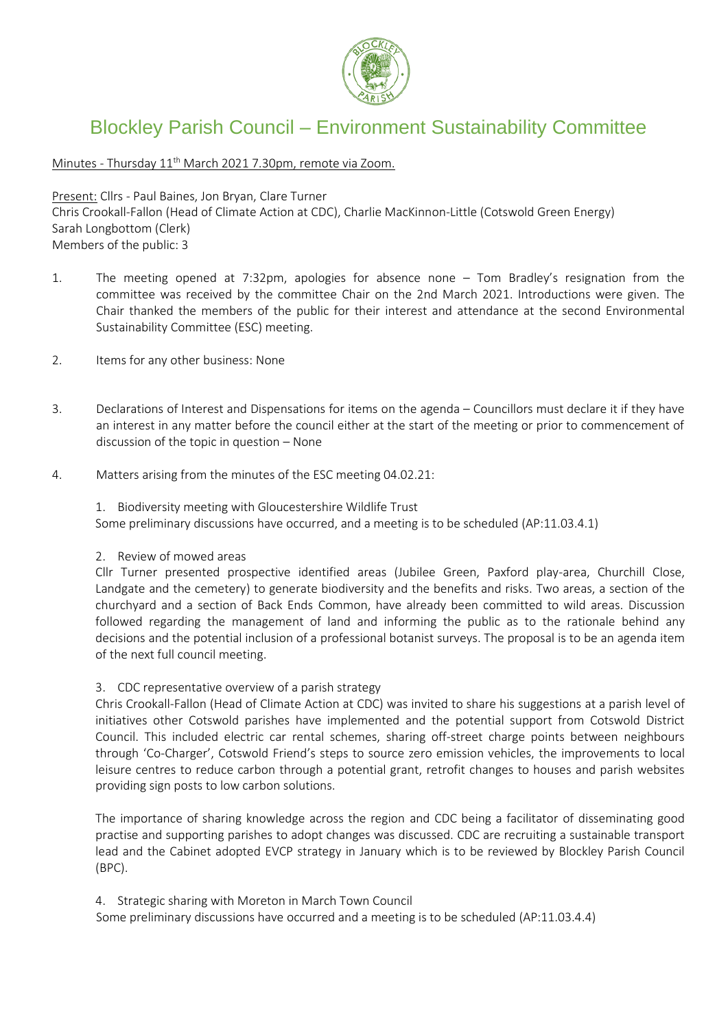

## Blockley Parish Council – Environment Sustainability Committee

Minutes - Thursday 11<sup>th</sup> March 2021 7.30pm, remote via Zoom.

Present: Cllrs - Paul Baines, Jon Bryan, Clare Turner

Chris Crookall-Fallon (Head of Climate Action at CDC), Charlie MacKinnon-Little (Cotswold Green Energy) Sarah Longbottom (Clerk) Members of the public: 3

- 1. The meeting opened at 7:32pm, apologies for absence none Tom Bradley's resignation from the committee was received by the committee Chair on the 2nd March 2021. Introductions were given. The Chair thanked the members of the public for their interest and attendance at the second Environmental Sustainability Committee (ESC) meeting.
- 2. Items for any other business: None
- 3. Declarations of Interest and Dispensations for items on the agenda Councillors must declare it if they have an interest in any matter before the council either at the start of the meeting or prior to commencement of discussion of the topic in question – None
- 4. Matters arising from the minutes of the ESC meeting 04.02.21:

1. Biodiversity meeting with Gloucestershire Wildlife Trust Some preliminary discussions have occurred, and a meeting is to be scheduled (AP:11.03.4.1)

## 2. Review of mowed areas

Cllr Turner presented prospective identified areas (Jubilee Green, Paxford play-area, Churchill Close, Landgate and the cemetery) to generate biodiversity and the benefits and risks. Two areas, a section of the churchyard and a section of Back Ends Common, have already been committed to wild areas. Discussion followed regarding the management of land and informing the public as to the rationale behind any decisions and the potential inclusion of a professional botanist surveys. The proposal is to be an agenda item of the next full council meeting.

## 3. CDC representative overview of a parish strategy

Chris Crookall-Fallon (Head of Climate Action at CDC) was invited to share his suggestions at a parish level of initiatives other Cotswold parishes have implemented and the potential support from Cotswold District Council. This included electric car rental schemes, sharing off-street charge points between neighbours through 'Co-Charger', Cotswold Friend's steps to source zero emission vehicles, the improvements to local leisure centres to reduce carbon through a potential grant, retrofit changes to houses and parish websites providing sign posts to low carbon solutions.

The importance of sharing knowledge across the region and CDC being a facilitator of disseminating good practise and supporting parishes to adopt changes was discussed. CDC are recruiting a sustainable transport lead and the Cabinet adopted EVCP strategy in January which is to be reviewed by Blockley Parish Council (BPC).

4. Strategic sharing with Moreton in March Town Council

Some preliminary discussions have occurred and a meeting is to be scheduled (AP:11.03.4.4)